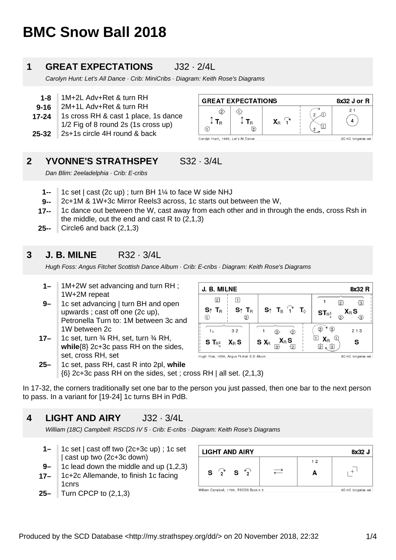# **BMC Snow Ball 2018**

### **1 GREAT EXPECTATIONS** J32 · 2/4L

Carolyn Hunt: Let's All Dance · Crib: MiniCribs · Diagram: Keith Rose's Diagrams

- **1-8** 1M+2L Adv+Ret & turn RH
- **9-16** 2M+1L Adv+Ret & turn RH
- **17-24** 1s cross RH & cast 1 place, 1s dance 1/2 Fig of 8 round 2s (1s cross up)
- **25-32** 2s+1s circle 4H round & back

| <b>GREAT EXPECTATIONS</b>           |   |    |  | 8x32 J or R         |
|-------------------------------------|---|----|--|---------------------|
| $\overline{R}$                      | © | X⊧ |  | 21                  |
| Carolyn Hunt, 1989, Let's All Dance |   |    |  | 2C/4C longwise set. |

#### **2** YVONNE'S STRATHSPEY S32 · 3/4L

Dan Blim: 2eeladelphia · Crib: E-cribs

- **1--** 1c set | cast (2c up) ; turn BH 1¼ to face W side NHJ
- **9--** 2c+1M & 1W+3c Mirror Reels3 across, 1c starts out between the W,
- **17--** 1c dance out between the W, cast away from each other and in through the ends, cross Rsh in the middle, out the end and cast R to (2,1,3)

J. B. MILNE

 $\Box$ 

 $3<sub>2</sub>$ 

 $X_{R}S$ 

Hugh Foss, 1954, Angus Fitchet S D Album

 $S \uparrow T_{B}$ 

 $^{\circ}$ 

 $\boxed{2}$ 

 $S_1$  T<sub>R</sub>

 $\bigcap$ 

 $1<sub>x</sub>$ 

 $S T_{B_2^3}$ 

**25--** Circle6 and back (2,1,3)

#### **3 J. B. MILNE** R32 · 3/4L

Hugh Foss: Angus Fitchet Scottish Dance Album · Crib: E-cribs · Diagram: Keith Rose's Diagrams

- **1–** 1M+2W set advancing and turn RH ; 1W+2M repeat
- **9–** 1c set advancing | turn BH and open upwards ; cast off one (2c up), Petronella Turn to: 1M between 3c and 1W between 2c
- **17–** 1c set, turn ¾ RH, set, turn ¾ RH, **while**{8} 2c+3c pass RH on the sides, set, cross RH, set
- **25–** 1c set, pass RH, cast R into 2pl, **while**  $\{6\}$  2c+3c pass RH on the sides, set ; cross RH | all set.  $(2,1,3)$

In 17-32, the corners traditionally set one bar to the person you just passed, then one bar to the next person to pass. In a variant for [19-24] 1c turns BH in PdB.

#### **4 LIGHT AND AIRY** J32 · 3/4L

William (18C) Campbell: RSCDS IV 5 · Crib: E-cribs · Diagram: Keith Rose's Diagrams

- **1–** 1c set | cast off two (2c+3c up) ; 1c set | cast up two (2c+3c down)
- **9–** 1c lead down the middle and up (1,2,3)
- **17–** 1c+2c Allemande, to finish 1c facing 1cnrs
- **25–** Turn CPCP to (2,1,3)

| <b>LIGHT AND AIRY</b>                  |  |    | 8x32 J              |
|----------------------------------------|--|----|---------------------|
|                                        |  | 12 |                     |
| $S^{\prime}$<br>$S^{\prime}2$          |  |    |                     |
| William Campbell, 1790, RSCDS Book 4.5 |  |    | 3C/4C longwise set. |

 $S_1$  T<sub>B</sub>  $\widehat{I}$ 

 $\circled{3}$ 

 $\mathbf{1}$ 

 $S X_R \frac{\lambda}{3}$ 

 $\mathbf{T}_{\odot}$ 

 $\overline{2}$ 

नत्र

 $X_{R}S$ 



8x32 R

 $\overline{3}$ 

.<br>-ଉ

 $213$ 

S

3C/4C longwise set.

 $\mathbf{X}_{\text{R}}$  S

 $\overline{1}$ 

 $ST_{R^3_A}$ 

 $\overset{\frown}{(2)}$   $\overset{\frown}{(3)}$ 

 $\overline{\mathbb{1}}$   $\mathsf{X}_{\mathsf{B}}$   $\overline{\mathbb{Q}}$ 

 $\overline{2}$ ,  $\overline{3}$ 

 $\overline{2}$ 

 $\odot$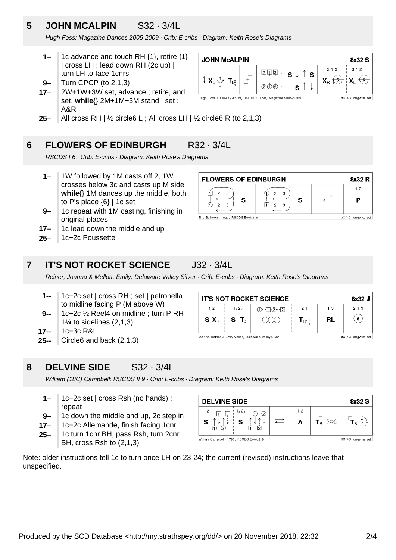# **5 JOHN MCALPIN** S32 · 3/4L

Hugh Foss: Magazine Dances 2005-2009 · Crib: E-cribs · Diagram: Keith Rose's Diagrams

- **1–** 1c advance and touch RH {1}, retire {1} | cross LH ; lead down RH (2c up) | turn LH to face 1cnrs
- **9–** Turn CPCP (to 2,1,3)
- **17–** 2W+1W+3W set, advance ; retire, and set, **while**{} 2M+1M+3M stand | set ; A&R



**25–** All cross RH |  $\frac{1}{2}$  circle6 L; All cross LH |  $\frac{1}{2}$  circle6 R (to 2,1,3)

#### **6 FLOWERS OF EDINBURGH** R32 · 3/4L

RSCDS I 6 · Crib: E-cribs · Diagram: Keith Rose's Diagrams

- **1–** 1W followed by 1M casts off 2, 1W crosses below 3c and casts up M side **while**{} 1M dances up the middle, both to P's place  $\{6\}$  | 1c set
- **9–** 1c repeat with 1M casting, finishing in original places
- **17–** 1c lead down the middle and up
- **25–** 1c+2c Poussette



### **7 IT'S NOT ROCKET SCIENCE** J32 · 3/4L

Reiner, Joanna & Mellott, Emily: Delaware Valley Silver · Crib: E-cribs · Diagram: Keith Rose's Diagrams

- **1--** 1c+2c set | cross RH ; set | petronella to midline facing P (M above W)
- **9--** 1c+2c ½ Reel4 on midline ; turn P RH  $1\%$  to sidelines  $(2,1,3)$
- **17--** 1c+3c R&L
- **25--** Circle6 and back (2,1,3)

| <b>IT'S NOT ROCKET SCIENCE</b>                                              |                 |                    |                       | 8x32 J |                |
|-----------------------------------------------------------------------------|-----------------|--------------------|-----------------------|--------|----------------|
| 12                                                                          | 1x 2x           | $(1) - 11(2) - 12$ | 21                    | 13     | 213            |
|                                                                             | $S X_R$ $S T_Q$ |                    | $T_{R1}$ <sup>1</sup> | RL     | 6 <sub>o</sub> |
| Joanna Reiner & Emily Mellot, Delaware Valley Silver<br>3C/4C longwise set. |                 |                    |                       |        |                |

#### **8 DELVINE SIDE** S32 · 3/4L

William (18C) Campbell: RSCDS II 9 · Crib: E-cribs · Diagram: Keith Rose's Diagrams

- **1–** 1c+2c set | cross Rsh (no hands) ; repeat
- **9–** 1c down the middle and up, 2c step in
- **17–** 1c+2c Allemande, finish facing 1cnr
- **25–** 1c turn 1cnr BH, pass Rsh, turn 2cnr BH, cross Rsh to (2,1,3)

| <b>DELVINE SIDE</b>                                                                |         | 8x32 S              |
|------------------------------------------------------------------------------------|---------|---------------------|
| $1_x 2_x$<br>12<br>12 <sup>1</sup><br>(2)<br>ᄉ<br>∧<br>$\check{}$<br>v<br>(2<br>12 | 12<br>А | Iв<br>B             |
| William Campbell, 1790, RSCDS Book 2.9                                             |         | 3C/4C longwise set. |

Note: older instructions tell 1c to turn once LH on 23-24; the current (revised) instructions leave that unspecified.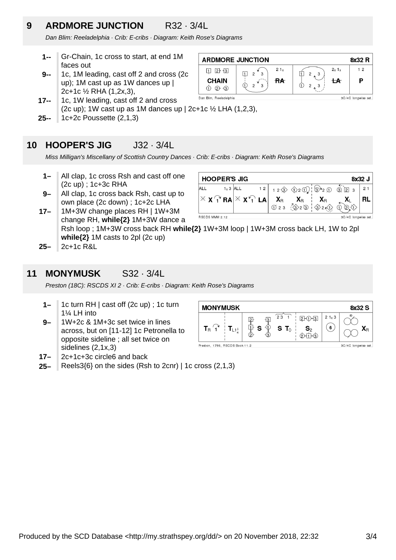## **9 ARDMORE JUNCTION** R32 · 3/4L

Dan Blim: Reeladelphia · Crib: E-cribs · Diagram: Keith Rose's Diagrams

- **1--** Gr-Chain, 1c cross to start, at end 1M faces out
- **9--** 1c, 1M leading, cast off 2 and cross (2c up); 1M cast up as 1W dances up | 2c+1c ½ RHA (1,2x,3),
- Dan Blim, Reeladelphia **17--** 1c, 1W leading, cast off 2 and cross (2c up); 1W cast up as 1M dances up  $|$  2c+1c  $\frac{1}{2}$  LHA (1,2,3),
- **25--** 1c+2c Poussette (2,1,3)

### **10 HOOPER'S JIG** J32 · 3/4L

Miss Milligan's Miscellany of Scottish Country Dances · Crib: E-cribs · Diagram: Keith Rose's Diagrams

- **1–** All clap, 1c cross Rsh and cast off one (2c up) ; 1c+3c RHA
- **9–** All clap, 1c cross back Rsh, cast up to own place (2c down) ; 1c+2c LHA



- **17–** 1M+3W change places RH | 1W+3M change RH, **while{2}** 1M+3W dance a Rsh loop ; 1M+3W cross back RH **while{2}** 1W+3M loop | 1W+3M cross back LH, 1W to 2pl **while{2}** 1M casts to 2pl (2c up)
- **25–** 2c+1c R&L

#### **11 MONYMUSK** S32 · 3/4L

Preston (18C): RSCDS XI 2 · Crib: E-cribs · Diagram: Keith Rose's Diagrams

- **1–** 1c turn RH | cast off (2c up) ; 1c turn 1¼ LH into
- **9–** 1W+2c & 1M+3c set twice in lines across, but on [11-12] 1c Petronella to opposite sideline ; all set twice on sidelines (2,1x,3)
- **17–** 2c+1c+3c circle6 and back
- **25–** Reels $3\{6\}$  on the sides (Rsh to 2cnr) | 1c cross (2,1,3)